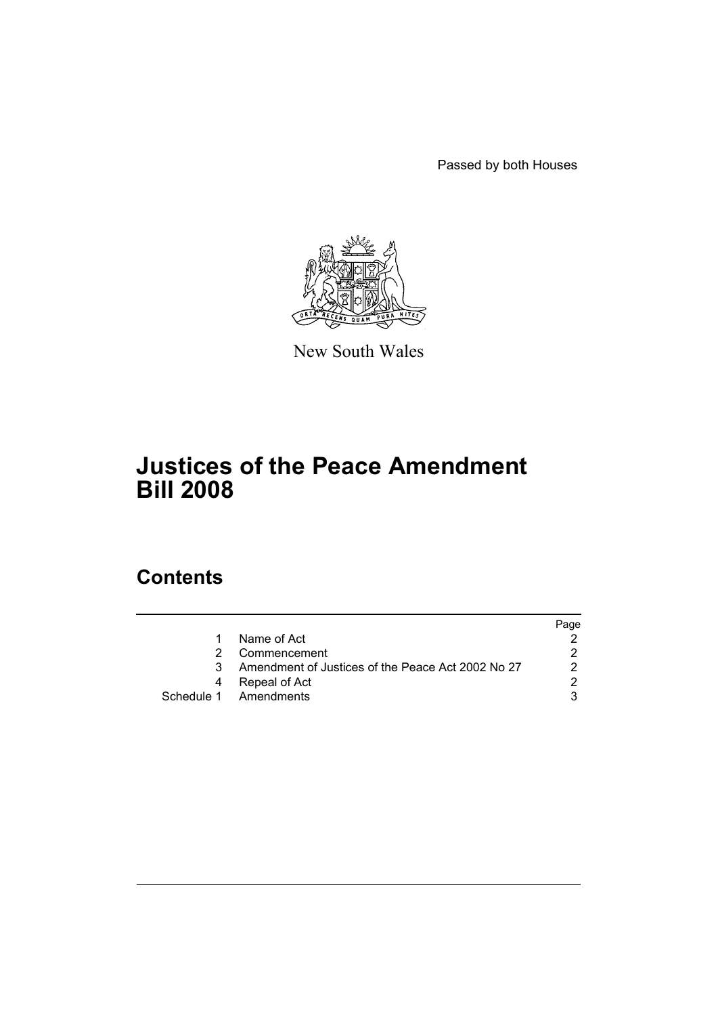Passed by both Houses



New South Wales

# **Justices of the Peace Amendment Bill 2008**

### **Contents**

|                                                   | Page |
|---------------------------------------------------|------|
| Name of Act                                       |      |
| Commencement                                      |      |
| Amendment of Justices of the Peace Act 2002 No 27 |      |
| Repeal of Act                                     |      |
| Schedule 1 Amendments                             |      |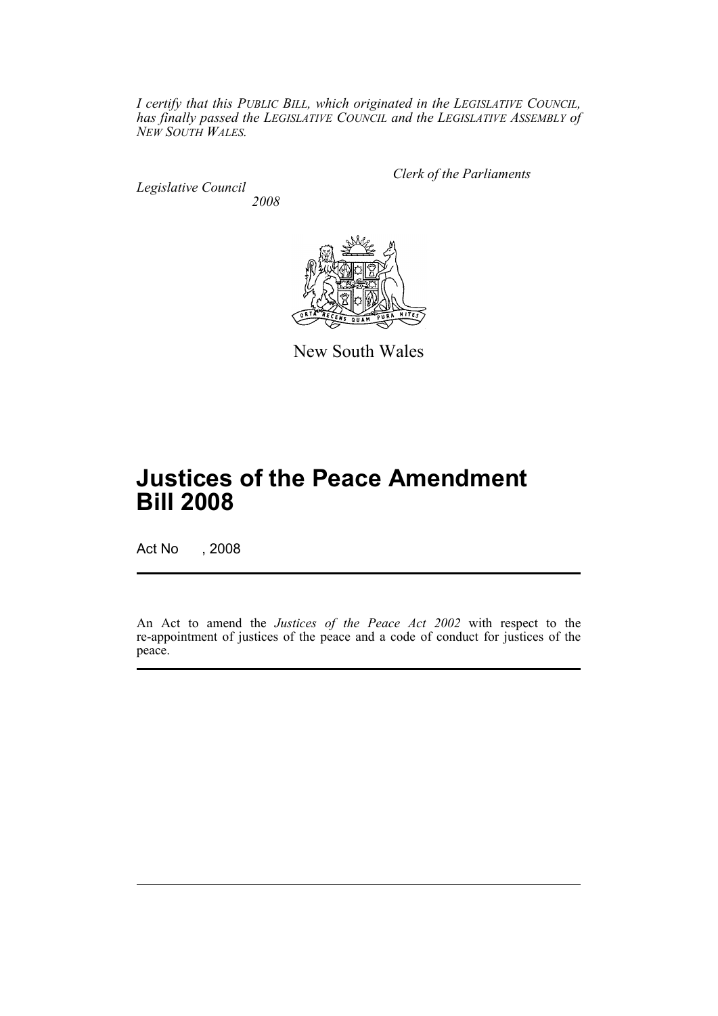*I certify that this PUBLIC BILL, which originated in the LEGISLATIVE COUNCIL, has finally passed the LEGISLATIVE COUNCIL and the LEGISLATIVE ASSEMBLY of NEW SOUTH WALES.*

*Legislative Council 2008* *Clerk of the Parliaments*



New South Wales

# **Justices of the Peace Amendment Bill 2008**

Act No , 2008

An Act to amend the *Justices of the Peace Act 2002* with respect to the re-appointment of justices of the peace and a code of conduct for justices of the peace.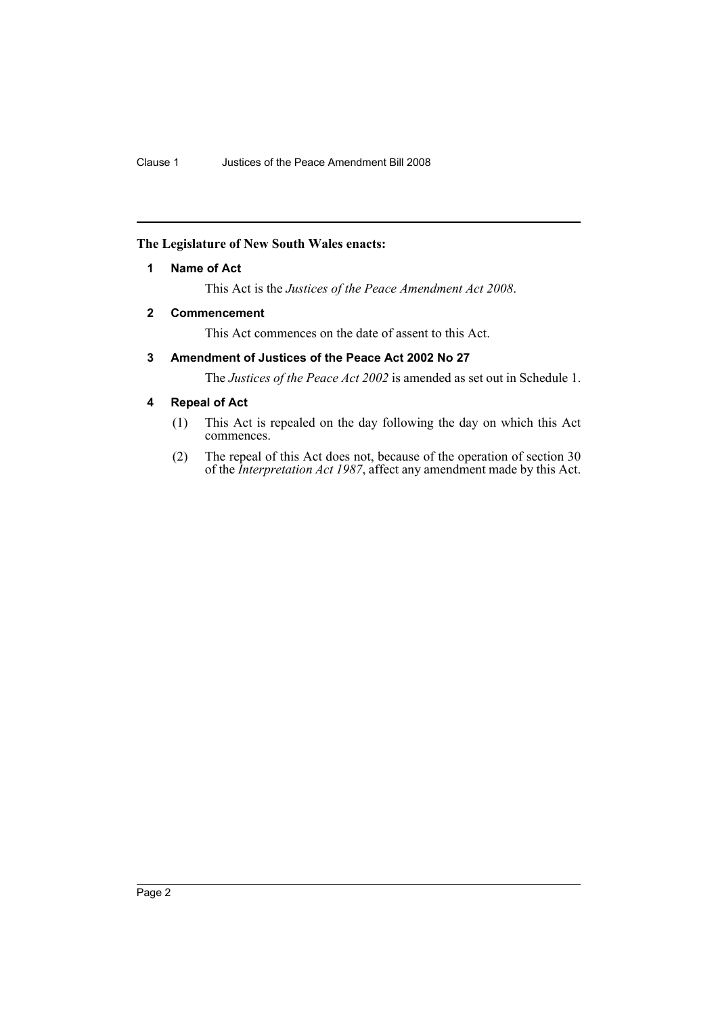#### <span id="page-2-0"></span>**The Legislature of New South Wales enacts:**

#### **1 Name of Act**

This Act is the *Justices of the Peace Amendment Act 2008*.

#### <span id="page-2-1"></span>**2 Commencement**

This Act commences on the date of assent to this Act.

### <span id="page-2-2"></span>**3 Amendment of Justices of the Peace Act 2002 No 27**

The *Justices of the Peace Act 2002* is amended as set out in Schedule 1.

#### <span id="page-2-3"></span>**4 Repeal of Act**

- (1) This Act is repealed on the day following the day on which this Act commences.
- (2) The repeal of this Act does not, because of the operation of section 30 of the *Interpretation Act 1987*, affect any amendment made by this Act.